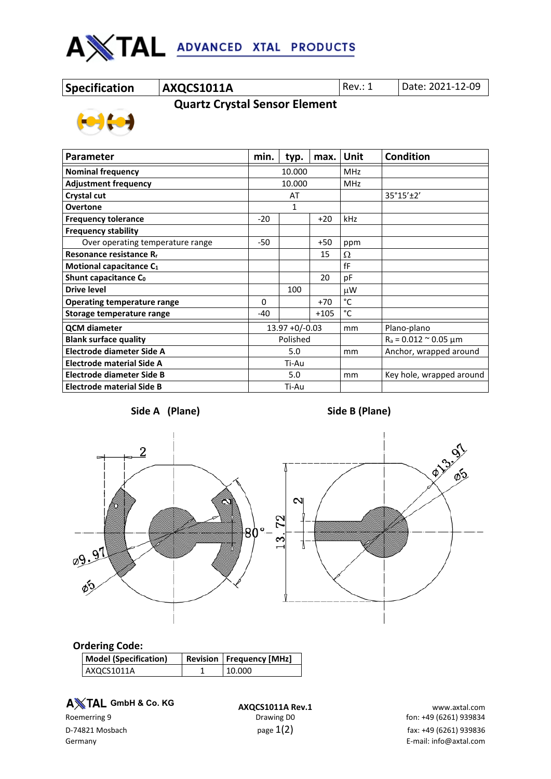

**Specification AXQCS1011A** Rev.: 1 Date: 2021-12-09

 **Quartz Crystal Sensor Element**



| <b>Parameter</b>                    |                   | typ.  | max.       | Unit                     | <b>Condition</b>                 |  |
|-------------------------------------|-------------------|-------|------------|--------------------------|----------------------------------|--|
| <b>Nominal frequency</b>            | 10.000            |       | <b>MHz</b> |                          |                                  |  |
| <b>Adjustment frequency</b>         | 10.000            |       | <b>MHz</b> |                          |                                  |  |
| Crystal cut                         | AT                |       |            | 35°15'±2'                |                                  |  |
| <b>Overtone</b>                     | 1                 |       |            |                          |                                  |  |
| <b>Frequency tolerance</b>          | $-20$             | $+20$ |            | kHz                      |                                  |  |
| <b>Frequency stability</b>          |                   |       |            |                          |                                  |  |
| Over operating temperature range    | $-50$             |       | $+50$      | ppm                      |                                  |  |
| Resonance resistance R <sub>r</sub> |                   |       | 15         | Ω                        |                                  |  |
| Motional capacitance C1             |                   |       |            | fF                       |                                  |  |
| Shunt capacitance C <sub>0</sub>    |                   |       | 20         | pF                       |                                  |  |
| <b>Drive level</b>                  |                   | 100   |            | μW                       |                                  |  |
| <b>Operating temperature range</b>  | $\Omega$          |       | $+70$      | °C                       |                                  |  |
| Storage temperature range           | $-40$             |       | $+105$     | °C                       |                                  |  |
| <b>QCM</b> diameter                 | $13.97 + 0/-0.03$ |       | mm         | Plano-plano              |                                  |  |
| <b>Blank surface quality</b>        | Polished          |       |            |                          | $R_a = 0.012 \approx 0.05 \mu m$ |  |
| Electrode diameter Side A           | 5.0               |       | mm         | Anchor, wrapped around   |                                  |  |
| <b>Electrode material Side A</b>    | Ti-Au             |       |            |                          |                                  |  |
| Electrode diameter Side B           | 5.0               |       | mm         | Key hole, wrapped around |                                  |  |
| <b>Electrode material Side B</b>    | Ti-Au             |       |            |                          |                                  |  |



## **Ordering Code:**

| <b>Model (Specification)</b> | <b>Revision   Frequency [MHz]</b> |  |  |
|------------------------------|-----------------------------------|--|--|
| AXQCS1011A                   | 10.000                            |  |  |

**A** $X$ TAL GmbH & Co. KG

**A TAL GmbH & Co. KG**<br>**AXQCS1011A Rev.1** www.axtal.com www.axtal.com<br>fon: +49 (6261) 939834 fon: +49 (6261) 939834 fon: +49 (6261) 939834 D-74821 Mosbach  $p$ age  $1(2)$   $p$ age  $1(2)$  fax: +49 (6261) 939836 Germany E-mail: info@axtal.com